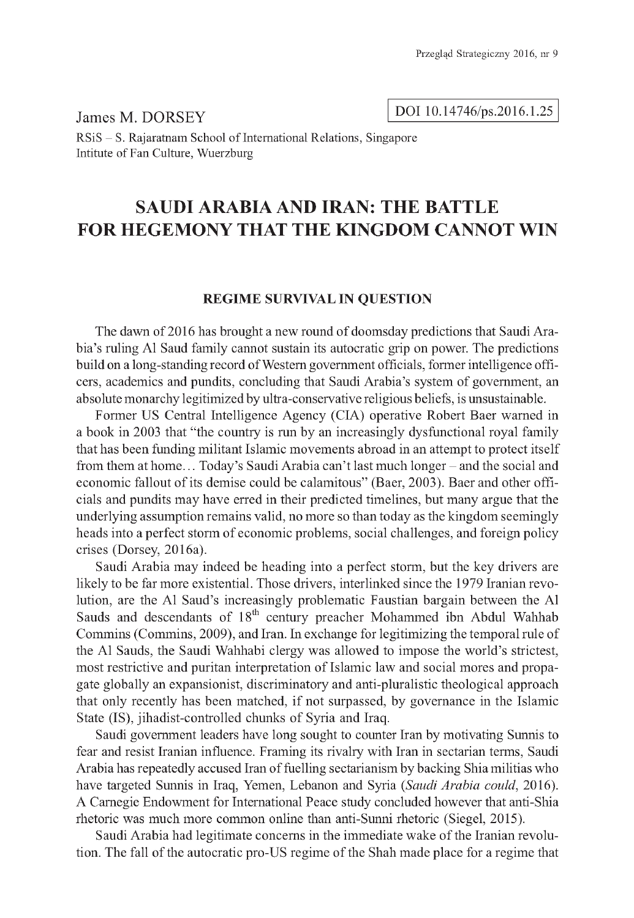DOI 10.14746/ps.2016.1.25

James M. DORSEY RSiS - S. Rajaratnam School of International Relations, Singapore Intitute of Fan Culture, Wuerzburg

# **SAUDI ARABIA AND IRAN: THE BATTLE FOR HEGEMONY THAT THE KINGDOM CANNOT WIN**

# **REGIME SURVIVAL IN QUESTION**

The dawn of 2016 has brought a new round of doomsday predictions that Saudi Arabia's ruling Al Saud family cannot sustain its autocratic grip on power. The predictions build on a long-standing record of Western government officials, former intelligence officers, academics and pundits, concluding that Saudi Arabia's system of government, an absolute monarchy legitimized by ultra-conservative religious beliefs, is unsustainable.

Former US Central Intelligence Agency (CIA) operative Robert Baer warned in a book in 2003 that "the country is run by an increasingly dysfunctional royal family that has been funding militant Islamic movements abroad in an attempt to protect itself from them at home... Today's Saudi Arabia can't last much longer – and the social and economic fallout of its demise could be calamitous" (Baer, 2003). Baer and other officials and pundits may have erred in their predicted timelines, but many argue that the underlying assumption remains valid, no more so than today as the kingdom seemingly heads into a perfect storm of economic problems, social challenges, and foreign policy crises (Dorsey, 2016a).

Saudi Arabia may indeed be heading into a perfect storm, but the key drivers are likely to be far more existential. Those drivers, interlinked since the 1979 Iranian revolution, are the Al Saud's increasingly problematic Faustian bargain between the Al Sauds and descendants of 18<sup>th</sup> century preacher Mohammed ibn Abdul Wahhab Commins (Commins, 2009), and Iran. In exchange for legitimizing the temporal rule of the Al Sauds, the Saudi Wahhabi clergy was allowed to impose the world's strictest, most restrictive and puritan interpretation of Islamic law and social mores and propagate globally an expansionist, discriminatory and anti-pluralistic theological approach that only recently has been matched, if not surpassed, by governance in the Islamic State (IS), jihadist-controlled chunks of Syria and Iraq.

Saudi government leaders have long sought to counter Iran by motivating Sunnis to fear and resist Iranian influence. Framing its rivalry with Iran in sectarian terms, Saudi Arabia has repeatedly accused Iran of fuelling sectarianism by backing Shia militias who have targeted Sunnis in Iraq, Yemen, Lebanon and Syria *(Saudi Arabia could,* 2016). A Carnegie Endowment for International Peace study concluded however that anti-Shia rhetoric was much more common online than anti-Sunni rhetoric (Siegel, 2015).

Saudi Arabia had legitimate concerns in the immediate wake of the Iranian revolution. The fall of the autocratic pro-US regime of the Shah made place for a regime that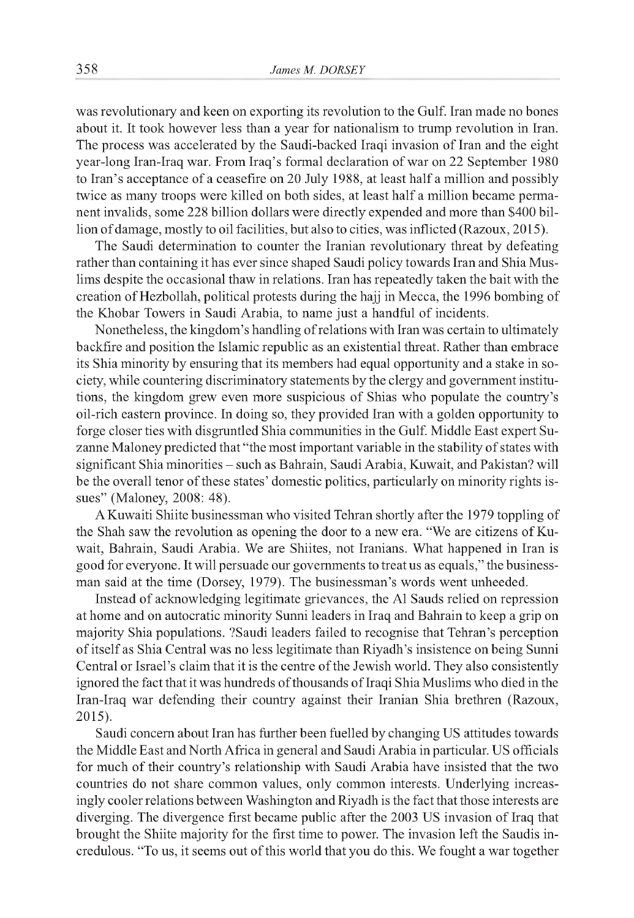was revolutionary and keen on exporting its revolution to the Gulf. Iran made no bones about it. It took however less than a year for nationalism to trump revolution in Iran. The process was accelerated by the Saudi-backed Iraqi invasion of Iran and the eight year-long Iran-Iraq war. From Iraq's formal declaration of war on 22 September 1980 to Iran's acceptance of a ceasefire on 20 July 1988, at least half a million and possibly twice as many troops were killed on both sides, at least half a million became permanent invalids, some 228 billion dollars were directly expended and more than \$400 billion of damage, mostly to oil facilities, but also to cities, was inflicted (Razoux, 2015).

The Saudi determination to counter the Iranian revolutionary threat by defeating rather than containing it has ever since shaped Saudi policy towards Iran and Shia Muslims despite the occasional thaw in relations. Iran has repeatedly taken the bait with the creation of Hezbollah, political protests during the hajj in Mecca, the 1996 bombing of the Khobar Towers in Saudi Arabia, to name just a handful of incidents.

Nonetheless, the kingdom's handling of relations with Iran was certain to ultimately backfire and position the Islamic republic as an existential threat. Rather than embrace its Shia minority by ensuring that its members had equal opportunity and a stake in society, while countering discriminatory statements by the clergy and government institutions, the kingdom grew even more suspicious of Shias who populate the country's oil-rich eastern province. In doing so, they provided Iran with a golden opportunity to forge closer ties with disgruntled Shia communities in the Gulf. Middle East expert Suzanne Maloney predicted that "the most important variable in the stability of states with significant Shia minorities - such as Bahrain, Saudi Arabia, Kuwait, and Pakistan? will be the overall tenor of these states' domestic politics, particularly on minority rights issues" (Maloney, 2008: 48).

A Kuwaiti Shiite businessman who visited Tehran shortly after the 1979 toppling of the Shah saw the revolution as opening the door to a new era. "We are citizens of Kuwait, Bahrain, Saudi Arabia. We are Shiites, not Iranians. What happened in Iran is good for everyone. It will persuade our governments to treat us as equals," the businessman said at the time (Dorsey, 1979). The businessman's words went unheeded.

Instead of acknowledging legitimate grievances, the Al Sauds relied on repression at home and on autocratic minority Sunni leaders in Iraq and Bahrain to keep a grip on majority Shia populations. ?Saudi leaders failed to recognise that Tehran's perception of itself as Shia Central was no less legitimate than Riyadh's insistence on being Sunni Central or Israel's claim that it is the centre of the Jewish world. They also consistently ignored the fact that it was hundreds of thousands of Iraqi Shia Muslims who died in the Iran-Iraq war defending their country against their Iranian Shia brethren (Razoux, 2015).

Saudi concern about Iran has further been fuelled by changing US attitudes towards the Middle East and North Africa in general and Saudi Arabia in particular. US officials for much of their country's relationship with Saudi Arabia have insisted that the two countries do not share common values, only common interests. Underlying increasingly cooler relations between Washington and Riyadh is the fact that those interests are diverging. The divergence first became public after the 2003 US invasion of Iraq that brought the Shiite majority for the first time to power. The invasion left the Saudis incredulous. "To us, it seems out of this world that you do this. We fought a war together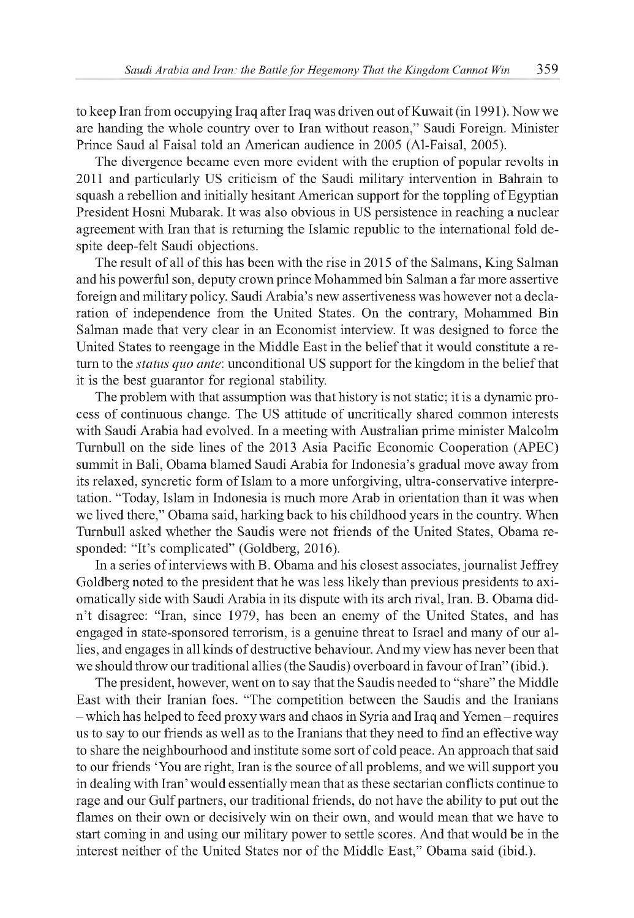to keep Iran from occupying Iraq after Iraq was driven out of Kuwait (in 1991). Now we are handing the whole country over to Iran without reason," Saudi Foreign. Minister Prince Saud al Faisal told an American audience in 2005 (Al-Faisal, 2005).

The divergence became even more evident with the eruption of popular revolts in 2011 and particularly US criticism of the Saudi military intervention in Bahrain to squash a rebellion and initially hesitant American support for the toppling of Egyptian President Hosni Mubarak. It was also obvious in US persistence in reaching a nuclear agreement with Iran that is returning the Islamic republic to the international fold despite deep-felt Saudi objections.

The result of all of this has been with the rise in 2015 of the Salmans, King Salman and his powerful son, deputy crown prince Mohammed bin Salman a far more assertive foreign and military policy. Saudi Arabia's new assertiveness was however not a declaration of independence from the United States. On the contrary, Mohammed Bin Salman made that very clear in an Economist interview. It was designed to force the United States to reengage in the Middle East in the belief that it would constitute a return to the *status quo ante*: unconditional US support for the kingdom in the belief that it is the best guarantor for regional stability.

The problem with that assumption was that history is not static; it is a dynamic process of continuous change. The US attitude of uncritically shared common interests with Saudi Arabia had evolved. In a meeting with Australian prime minister Malcolm Turnbull on the side lines of the 2013 Asia Pacific Economic Cooperation (APEC) summit in Bali, Obama blamed Saudi Arabia for Indonesia's gradual move away from its relaxed, syncretic form of Islam to a more unforgiving, ultra-conservative interpretation. "Today, Islam in Indonesia is much more Arab in orientation than it was when we lived there," Obama said, harking back to his childhood years in the country. When Turnbull asked whether the Saudis were not friends of the United States, Obama responded: "It's complicated" (Goldberg, 2016).

In a series of interviews with B. Obama and his closest associates, journalist Jeffrey Goldberg noted to the president that he was less likely than previous presidents to axiomatically side with Saudi Arabia in its dispute with its arch rival, Iran. B. Obama didn 't disagree: "Iran, since 1979, has been an enemy of the United States, and has engaged in state-sponsored terrorism, is a genuine threat to Israel and many of our allies, and engages in all kinds of destructive behaviour. And my view has never been that we should throw our traditional allies (the Saudis) overboard in favour of Iran" (ibid.).

The president, however, went on to say that the Saudis needed to "share" the Middle East with their Iranian foes. "The competition between the Saudis and the Iranians - which has helped to feed proxy wars and chaos in Syria and Iraq and Yemen - requires us to say to our friends as well as to the Iranians that they need to find an effective way to share the neighbourhood and institute some sort of cold peace. An approach that said to our friends 'You are right, Iran is the source of all problems, and we will support you in dealing with Iran' would essentially mean that as these sectarian conflicts continue to rage and our Gulf partners, our traditional friends, do not have the ability to put out the flames on their own or decisively win on their own, and would mean that we have to start coming in and using our military power to settle scores. And that would be in the interest neither of the United States nor of the Middle East," Obama said (ibid.).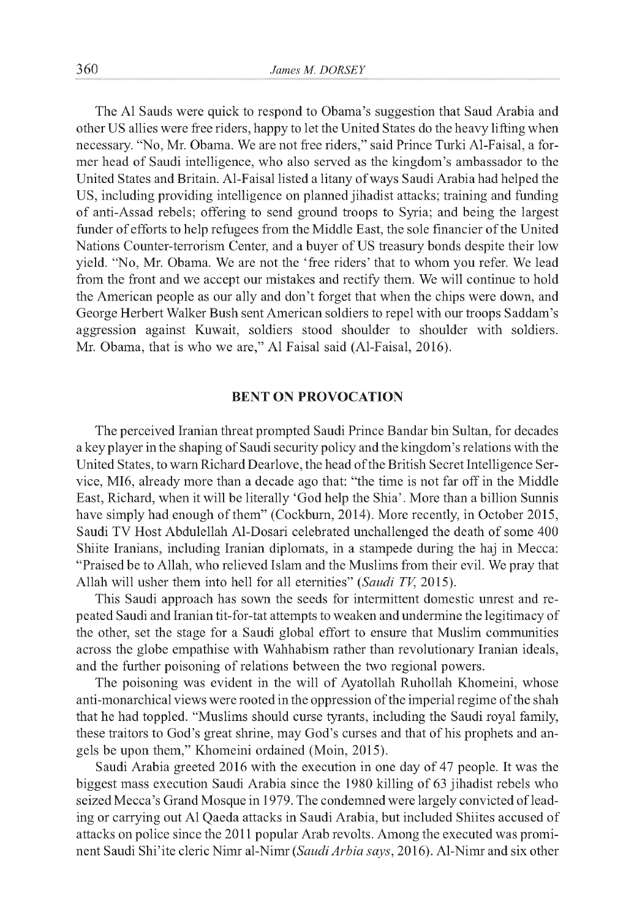The Al Sauds were quick to respond to Obama's suggestion that Saud Arabia and other US allies were free riders, happy to let the United States do the heavy lifting when necessary. "No, Mr. Obama. We are not free riders," said Prince Turki Al-Faisal, a former head of Saudi intelligence, who also served as the kingdom's ambassador to the United States and Britain. Al-Faisal listed a litany of ways Saudi Arabia had helped the US, including providing intelligence on planned jihadist attacks; training and funding of anti-Assad rebels; offering to send ground troops to Syria; and being the largest funder of efforts to help refugees from the Middle East, the sole financier of the United Nations Counter-terrorism Center, and a buyer of US treasury bonds despite their low yield. "No, Mr. Obama. We are not the 'free riders' that to whom you refer. We lead from the front and we accept our mistakes and rectify them. We will continue to hold the American people as our ally and don't forget that when the chips were down, and George Herbert Walker Bush sent American soldiers to repel with our troops Saddam's aggression against Kuwait, soldiers stood shoulder to shoulder with soldiers. Mr. Obama, that is who we are," Al Faisal said (Al-Faisal, 2016).

## **BENT ON PROVOCATION**

The perceived Iranian threat prompted Saudi Prince Bandar bin Sultan, for decades a key player in the shaping of Saudi security policy and the kingdom's relations with the United States, to warn Richard Dearlove, the head of the British Secret Intelligence Service, MI6, already more than a decade ago that: "the time is not far off in the Middle East, Richard, when it will be literally 'God help the Shia'. More than a billion Sunnis have simply had enough of them" (Cockburn, 2014). More recently, in October 2015, Saudi TV Host Abdulellah Al-Dosari celebrated unchallenged the death of some 400 Shiite Iranians, including Iranian diplomats, in a stampede during the haj in Mecca: "Praised be to Allah, who relieved Islam and the Muslims from their evil. We pray that Allah will usher them into hell for all eternities" *(Saudi TV,* 2015).

This Saudi approach has sown the seeds for intermittent domestic unrest and repeated Saudi and Iranian tit-for-tat attempts to weaken and undermine the legitimacy of the other, set the stage for a Saudi global effort to ensure that Muslim communities across the globe empathise with Wahhabism rather than revolutionary Iranian ideals, and the further poisoning of relations between the two regional powers.

The poisoning was evident in the will of Ayatollah Ruhollah Khomeini, whose anti-monarchical views were rooted in the oppression of the imperial regime of the shah that he had toppled. "Muslims should curse tyrants, including the Saudi royal family, these traitors to God's great shrine, may God's curses and that of his prophets and angels be upon them," Khomeini ordained (Moin, 2015).

Saudi Arabia greeted 2016 with the execution in one day of 47 people. It was the biggest mass execution Saudi Arabia since the 1980 killing of 63 jihadist rebels who seized Mecca's Grand Mosque in 1979. The condemned were largely convicted of leading or carrying out Al Qaeda attacks in Saudi Arabia, but included Shiites accused of attacks on police since the 2011 popular Arab revolts. Among the executed was prominent Saudi Shi'ite cleric Nimr al-Nimr *(Saudi Arbia says,* 2016). Al-Nimr and six other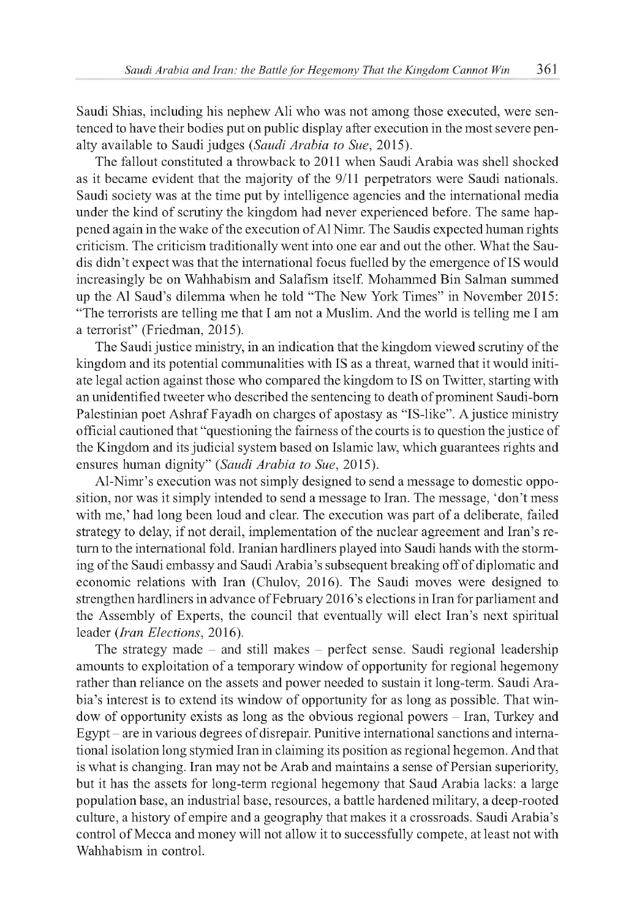Saudi Shias, including his nephew Ali who was not among those executed, were sentenced to have their bodies put on public display after execution in the most severe penalty available to Saudi judges *(Saudi Arabia to Sue,* 2015).

The fallout constituted a throwback to 2011 when Saudi Arabia was shell shocked as it became evident that the majority of the 9/11 perpetrators were Saudi nationals. Saudi society was at the time put by intelligence agencies and the international media under the kind of scrutiny the kingdom had never experienced before. The same happened again in the wake of the execution of Al Nimr. The Saudis expected human rights criticism. The criticism traditionally went into one ear and out the other. What the Saudis didn't expect was that the international focus fuelled by the emergence of IS would increasingly be on Wahhabism and Salafism itself. Mohammed Bin Salman summed up the Al Saud's dilemma when he told "The New York Times" in November 2015: "The terrorists are telling me that I am not a Muslim. And the world is telling me I am a terrorist" (Friedman, 2015).

The Saudi justice ministry, in an indication that the kingdom viewed scrutiny of the kingdom and its potential communalities with IS as a threat, warned that it would initiate legal action against those who compared the kingdom to IS on Twitter, starting with an unidentified tweeter who described the sentencing to death of prominent Saudi-born Palestinian poet Ashraf Fayadh on charges of apostasy as "IS-like". A justice ministry official cautioned that "questioning the fairness of the courts is to question the justice of the Kingdom and its judicial system based on Islamic law, which guarantees rights and ensures human dignity" *(Saudi Arabia to Sue,* 2015).

Al-Nimr's execution was not simply designed to send a message to domestic opposition, nor was it simply intended to send a message to Iran. The message, 'don't mess with me,' had long been loud and clear. The execution was part of a deliberate, failed strategy to delay, if not derail, implementation of the nuclear agreement and Iran's return to the international fold. Iranian hardliners played into Saudi hands with the storming of the Saudi embassy and Saudi Arabia's subsequent breaking off of diplomatic and economic relations with Iran (Chulov, 2016). The Saudi moves were designed to strengthen hardliners in advance of February 2016's elections in Iran for parliament and the Assembly of Experts, the council that eventually will elect Iran's next spiritual leader *(Iran Elections,* 2016).

The strategy made - and still makes - perfect sense. Saudi regional leadership amounts to exploitation of a temporary window of opportunity for regional hegemony rather than reliance on the assets and power needed to sustain it long-term. Saudi Arabia's interest is to extend its window of opportunity for as long as possible. That window of opportunity exists as long as the obvious regional powers - Iran, Turkey and Egypt - are in various degrees of disrepair. Punitive international sanctions and international isolation long stymied Iran in claiming its position as regional hegemon. And that is what is changing. Iran may not be Arab and maintains a sense of Persian superiority, but it has the assets for long-term regional hegemony that Saud Arabia lacks: a large population base, an industrial base, resources, a battle hardened military, a deep-rooted culture, a history of empire and a geography that makes it a crossroads. Saudi Arabia's control of Mecca and money will not allow it to successfully compete, at least not with Wahhabism in control.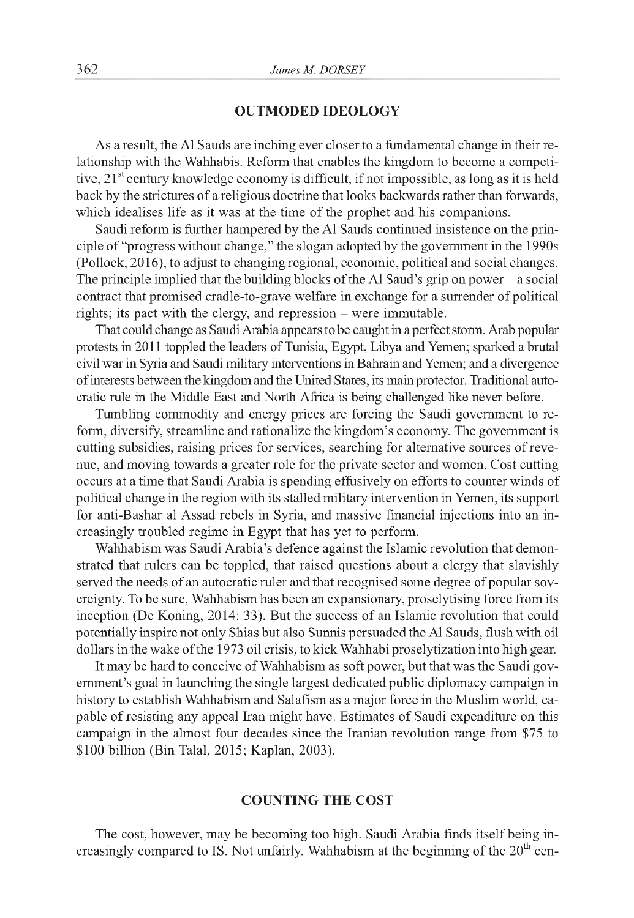# **OUTMODED IDEOLOGY**

As a result, the Al Sauds are inching ever closer to a fundamental change in their relationship with the Wahhabis. Reform that enables the kingdom to become a competitive, 21<sup>st</sup> century knowledge economy is difficult, if not impossible, as long as it is held back by the strictures of a religious doctrine that looks backwards rather than forwards, which idealises life as it was at the time of the prophet and his companions.

Saudi reform is further hampered by the Al Sauds continued insistence on the principle of "progress without change," the slogan adopted by the government in the 1990s (Pollock, 2016), to adjust to changing regional, economic, political and social changes. The principle implied that the building blocks of the Al Saud's grip on power  $-$  a social contract that promised cradle-to-grave welfare in exchange for a surrender of political rights; its pact with the clergy, and repression – were immutable.

That could change as Saudi Arabia appears to be caught in a perfect storm. Arab popular protests in 2011 toppled the leaders of Tunisia, Egypt, Libya and Yemen; sparked a brutal civil war in Syria and Saudi military interventions in Bahrain and Yemen; and a divergence of interests between the kingdom and the United States, its main protector. Traditional autocratic rule in the Middle East and North Africa is being challenged like never before.

Tumbling commodity and energy prices are forcing the Saudi government to reform, diversify, streamline and rationalize the kingdom's economy. The government is cutting subsidies, raising prices for services, searching for alternative sources of revenue, and moving towards a greater role for the private sector and women. Cost cutting occurs at a time that Saudi Arabia is spending effusively on efforts to counter winds of political change in the region with its stalled military intervention in Yemen, its support for anti-Bashar al Assad rebels in Syria, and massive financial injections into an increasingly troubled regime in Egypt that has yet to perform.

Wahhabism was Saudi Arabia's defence against the Islamic revolution that demonstrated that rulers can be toppled, that raised questions about a clergy that slavishly served the needs of an autocratic ruler and that recognised some degree of popular sovereignty. To be sure, Wahhabism has been an expansionary, proselytising force from its inception (De Koning, 2014: 33). But the success of an Islamic revolution that could potentially inspire not only Shias but also Sunnis persuaded the Al Sauds, flush with oil dollars in the wake of the 1973 oil crisis, to kick Wahhabi proselytization into high gear.

It may be hard to conceive of Wahhabism as soft power, but that was the Saudi government's goal in launching the single largest dedicated public diplomacy campaign in history to establish Wahhabism and Salafism as a major force in the Muslim world, capable of resisting any appeal Iran might have. Estimates of Saudi expenditure on this campaign in the almost four decades since the Iranian revolution range from \$75 to \$100 billion (Bin Talal, 2015; Kaplan, 2003).

# **COUNTING THE COST**

The cost, however, may be becoming too high. Saudi Arabia finds itself being increasingly compared to IS. Not unfairly. Wahhabism at the beginning of the  $20<sup>th</sup>$  cen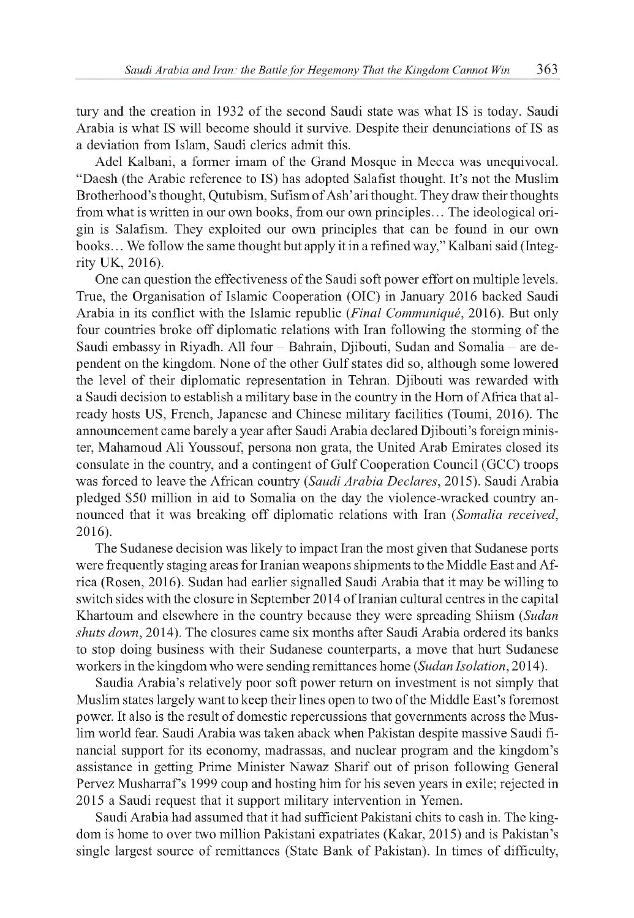tury and the creation in 1932 of the second Saudi state was what IS is today. Saudi Arabia is what IS will become should it survive. Despite their denunciations of IS as a deviation from Islam, Saudi clerics admit this.

Adel Kalbani, a former imam of the Grand Mosque in Mecca was unequivocal. "Daesh (the Arabic reference to IS) has adopted Salafist thought. It's not the Muslim Brotherhood's thought, Qutubism, Sufism of Ash'ari thought. They draw their thoughts from what is written in our own books, from our own principles... The ideological origin is Salafism. They exploited our own principles that can be found in our own books... We follow the same thought but apply it in a refined way," Kalbani said (Integrity UK, 2016).

One can question the effectiveness of the Saudi soft power effort on multiple levels. True, the Organisation of Islamic Cooperation (OIC) in January 2016 backed Saudi Arabia in its conflict with the Islamic republic *(Final Communiqué,* 2016). But only four countries broke off diplomatic relations with Iran following the storming of the Saudi embassy in Riyadh. All four - Bahrain, Djibouti, Sudan and Somalia - are dependent on the kingdom. None of the other Gulf states did so, although some lowered the level of their diplomatic representation in Tehran. Djibouti was rewarded with a Saudi decision to establish a military base in the country in the Horn of Africa that already hosts US, French, Japanese and Chinese military facilities (Toumi, 2016). The announcement came barely a year after Saudi Arabia declared Djibouti's foreign minister, Mahamoud Ali Youssouf, persona non grata, the United Arab Emirates closed its consulate in the country, and a contingent of Gulf Cooperation Council (GCC) troops was forced to leave the African country *(Saudi Arabia Declares,* 2015). Saudi Arabia pledged \$50 million in aid to Somalia on the day the violence-wracked country announced that it was breaking off diplomatic relations with Iran *(Somalia received,* 2016).

The Sudanese decision was likely to impact Iran the most given that Sudanese ports were frequently staging areas for Iranian weapons shipments to the Middle East and Africa (Rosen, 2016). Sudan had earlier signalled Saudi Arabia that it may be willing to switch sides with the closure in September 2014 of Iranian cultural centres in the capital Khartoum and elsewhere in the country because they were spreading Shiism *(Sudan shuts down,* 2014). The closures came six months after Saudi Arabia ordered its banks to stop doing business with their Sudanese counterparts, a move that hurt Sudanese workers in the kingdom who were sending remittances home *(Sudan Isolation,* 2014).

Saudia Arabia's relatively poor soft power return on investment is not simply that Muslim states largely want to keep their lines open to two of the Middle East's foremost power. It also is the result of domestic repercussions that governments across the Muslim world fear. Saudi Arabia was taken aback when Pakistan despite massive Saudi financial support for its economy, madrassas, and nuclear program and the kingdom's assistance in getting Prime Minister Nawaz Sharif out of prison following General Pervez Musharraf's 1999 coup and hosting him for his seven years in exile; rejected in 2015 a Saudi request that it support military intervention in Yemen.

Saudi Arabia had assumed that it had sufficient Pakistani chits to cash in. The kingdom is home to over two million Pakistani expatriates (Kakar, 2015) and is Pakistan's single largest source of remittances (State Bank of Pakistan). In times of difficulty,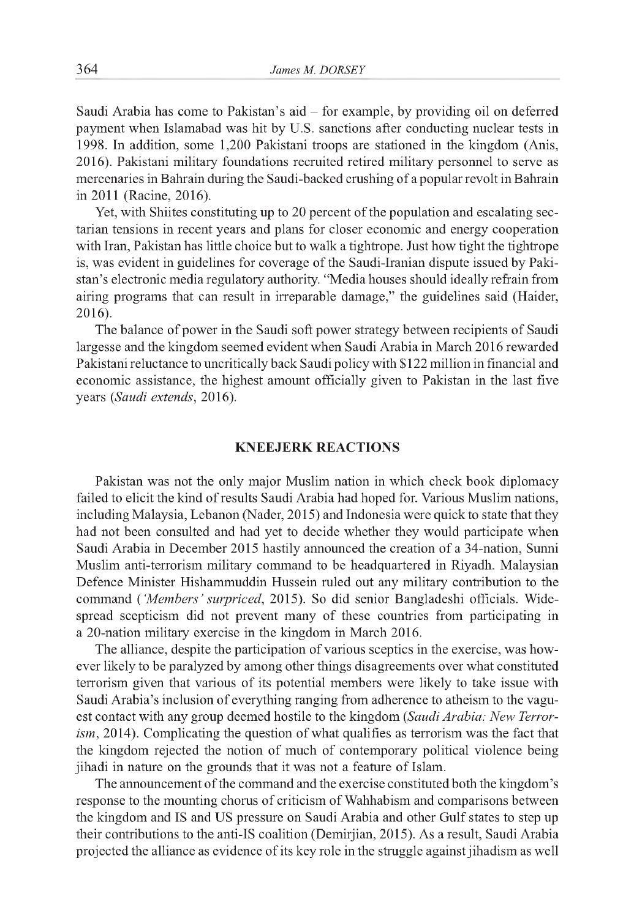Saudi Arabia has come to Pakistan's aid - for example, by providing oil on deferred payment when Islamabad was hit by U.S. sanctions after conducting nuclear tests in 1998. In addition, some 1,200 Pakistani troops are stationed in the kingdom (Anis, 2016). Pakistani military foundations recruited retired military personnel to serve as mercenaries in Bahrain during the Saudi-backed crushing of a popular revolt in Bahrain in 2011 (Racine, 2016).

Yet, with Shiites constituting up to 20 percent of the population and escalating sectarian tensions in recent years and plans for closer economic and energy cooperation with Iran, Pakistan has little choice but to walk a tightrope. Just how tight the tightrope is, was evident in guidelines for coverage of the Saudi-Iranian dispute issued by Pakistan's electronic media regulatory authority. "Media houses should ideally refrain from airing programs that can result in irreparable damage," the guidelines said (Haider, 2016).

The balance of power in the Saudi soft power strategy between recipients of Saudi largesse and the kingdom seemed evident when Saudi Arabia in March 2016 rewarded Pakistani reluctance to uncritically back Saudi policy with \$122 million in financial and economic assistance, the highest amount officially given to Pakistan in the last five years *(Saudi extends,* 2016).

# **KNEEJERK REACTIONS**

Pakistan was not the only major Muslim nation in which check book diplomacy failed to elicit the kind of results Saudi Arabia had hoped for. Various Muslim nations, including Malaysia, Lebanon (Nader, 2015) and Indonesia were quick to state that they had not been consulted and had yet to decide whether they would participate when Saudi Arabia in December 2015 hastily announced the creation of a 34-nation, Sunni Muslim anti-terrorism military command to be headquartered in Riyadh. Malaysian Defence Minister Hishammuddin Hussein ruled out any military contribution to the command *( 'Members' surpriced,* 2015). So did senior Bangladeshi officials. Widespread scepticism did not prevent many of these countries from participating in a 20-nation military exercise in the kingdom in March 2016.

The alliance, despite the participation of various sceptics in the exercise, was however likely to be paralyzed by among other things disagreements over what constituted terrorism given that various of its potential members were likely to take issue with Saudi Arabia's inclusion of everything ranging from adherence to atheism to the vaguest contact with any group deemed hostile to the kingdom *(Saudi Arabia: New Terrorism,* 2014). Complicating the question of what qualifies as terrorism was the fact that the kingdom rejected the notion of much of contemporary political violence being jihadi in nature on the grounds that it was not a feature of Islam.

The announcement of the command and the exercise constituted both the kingdom's response to the mounting chorus of criticism of Wahhabism and comparisons between the kingdom and IS and US pressure on Saudi Arabia and other Gulf states to step up their contributions to the anti-IS coalition (Demirjian, 2015). As a result, Saudi Arabia projected the alliance as evidence of its key role in the struggle against jihadism as well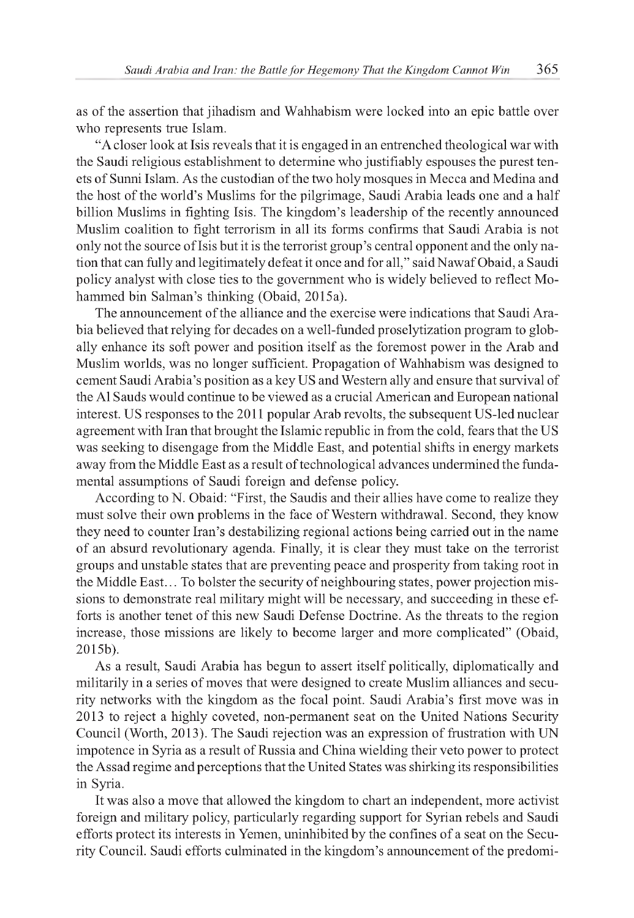as of the assertion that jihadism and Wahhabism were locked into an epic battle over who represents true Islam.

"A closer look at Isis reveals that it is engaged in an entrenched theological war with the Saudi religious establishment to determine who justifiably espouses the purest tenets of Sunni Islam. As the custodian of the two holy mosques in Mecca and Medina and the host of the world's Muslims for the pilgrimage, Saudi Arabia leads one and a half billion Muslims in fighting Isis. The kingdom's leadership of the recently announced Muslim coalition to fight terrorism in all its forms confirms that Saudi Arabia is not only not the source of Isis but it is the terrorist group's central opponent and the only nation that can fully and legitimately defeat it once and for all," said Nawaf Obaid, a Saudi policy analyst with close ties to the government who is widely believed to reflect Mohammed bin Salman's thinking (Obaid, 2015a).

The announcement of the alliance and the exercise were indications that Saudi Arabia believed that relying for decades on a well-funded proselytization program to globally enhance its soft power and position itself as the foremost power in the Arab and Muslim worlds, was no longer sufficient. Propagation of Wahhabism was designed to cement Saudi Arabia's position as a key US and Western ally and ensure that survival of the Al Sauds would continue to be viewed as a crucial American and European national interest. US responses to the 2011 popular Arab revolts, the subsequent US-led nuclear agreement with Iran that brought the Islamic republic in from the cold, fears that the US was seeking to disengage from the Middle East, and potential shifts in energy markets away from the Middle East as a result of technological advances undermined the fundamental assumptions of Saudi foreign and defense policy.

According to N. Obaid: "First, the Saudis and their allies have come to realize they must solve their own problems in the face of Western withdrawal. Second, they know they need to counter Iran's destabilizing regional actions being carried out in the name of an absurd revolutionary agenda. Finally, it is clear they must take on the terrorist groups and unstable states that are preventing peace and prosperity from taking root in the Middle East... To bolster the security of neighbouring states, power projection missions to demonstrate real military might will be necessary, and succeeding in these efforts is another tenet of this new Saudi Defense Doctrine. As the threats to the region increase, those missions are likely to become larger and more complicated" (Obaid, 2015b).

As a result, Saudi Arabia has begun to assert itself politically, diplomatically and militarily in a series of moves that were designed to create Muslim alliances and security networks with the kingdom as the focal point. Saudi Arabia's first move was in 2013 to reject a highly coveted, non-permanent seat on the United Nations Security Council (Worth, 2013). The Saudi rejection was an expression of frustration with UN impotence in Syria as a result of Russia and China wielding their veto power to protect the Assad regime and perceptions that the United States was shirking its responsibilities in Syria.

It was also a move that allowed the kingdom to chart an independent, more activist foreign and military policy, particularly regarding support for Syrian rebels and Saudi efforts protect its interests in Yemen, uninhibited by the confines of a seat on the Security Council. Saudi efforts culminated in the kingdom's announcement of the predomi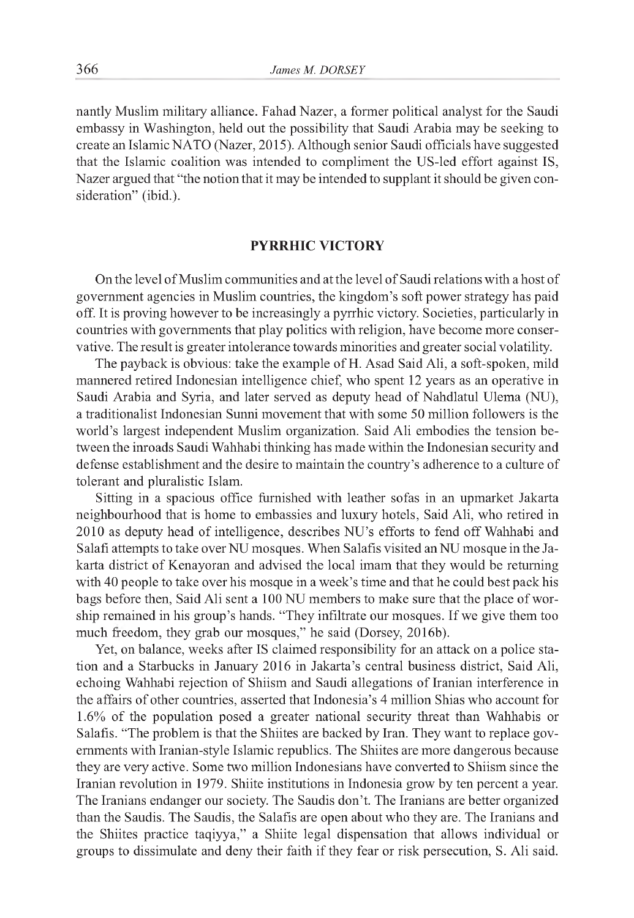nantly Muslim military alliance. Fahad Nazer, a former political analyst for the Saudi embassy in Washington, held out the possibility that Saudi Arabia may be seeking to create an Islamic NATO (Nazer, 2015). Although senior Saudi officials have suggested that the Islamic coalition was intended to compliment the US-led effort against IS, Nazer argued that "the notion that it may be intended to supplant it should be given consideration" (ibid.).

# **PYRRHIC VICTORY**

On the level of Muslim communities and at the level of Saudi relations with a host of government agencies in Muslim countries, the kingdom's soft power strategy has paid off. It is proving however to be increasingly a pyrrhic victory. Societies, particularly in countries with governments that play politics with religion, have become more conservative. The result is greater intolerance towards minorities and greater social volatility.

The payback is obvious: take the example of H. Asad Said Ali, a soft-spoken, mild mannered retired Indonesian intelligence chief, who spent 12 years as an operative in Saudi Arabia and Syria, and later served as deputy head of Nahdlatul Ulema (NU), a traditionalist Indonesian Sunni movement that with some 50 million followers is the world's largest independent Muslim organization. Said Ali embodies the tension between the inroads Saudi Wahhabi thinking has made within the Indonesian security and defense establishment and the desire to maintain the country's adherence to a culture of tolerant and pluralistic Islam.

Sitting in a spacious office furnished with leather sofas in an upmarket Jakarta neighbourhood that is home to embassies and luxury hotels, Said Ali, who retired in 2010 as deputy head of intelligence, describes NU's efforts to fend off Wahhabi and Salafi attempts to take over NU mosques. When Salafis visited an NU mosque in the Jakarta district of Kenayoran and advised the local imam that they would be returning with 40 people to take over his mosque in a week's time and that he could best pack his bags before then, Said Ali sent a 100 NU members to make sure that the place of worship remained in his group's hands. "They infiltrate our mosques. If we give them too much freedom, they grab our mosques," he said (Dorsey, 2016b).

Yet, on balance, weeks after IS claimed responsibility for an attack on a police station and a Starbucks in January 2016 in Jakarta's central business district, Said Ali, echoing Wahhabi rejection of Shiism and Saudi allegations of Iranian interference in the affairs of other countries, asserted that Indonesia's 4 million Shias who account for 1.6% of the population posed a greater national security threat than Wahhabis or Salafis. "The problem is that the Shiites are backed by Iran. They want to replace governments with Iranian-style Islamic republics. The Shiites are more dangerous because they are very active. Some two million Indonesians have converted to Shiism since the Iranian revolution in 1979. Shiite institutions in Indonesia grow by ten percent a year. The Iranians endanger our society. The Saudis don't. The Iranians are better organized than the Saudis. The Saudis, the Salafis are open about who they are. The Iranians and the Shiites practice taqiyya," a Shiite legal dispensation that allows individual or groups to dissimulate and deny their faith if they fear or risk persecution, S. Ali said.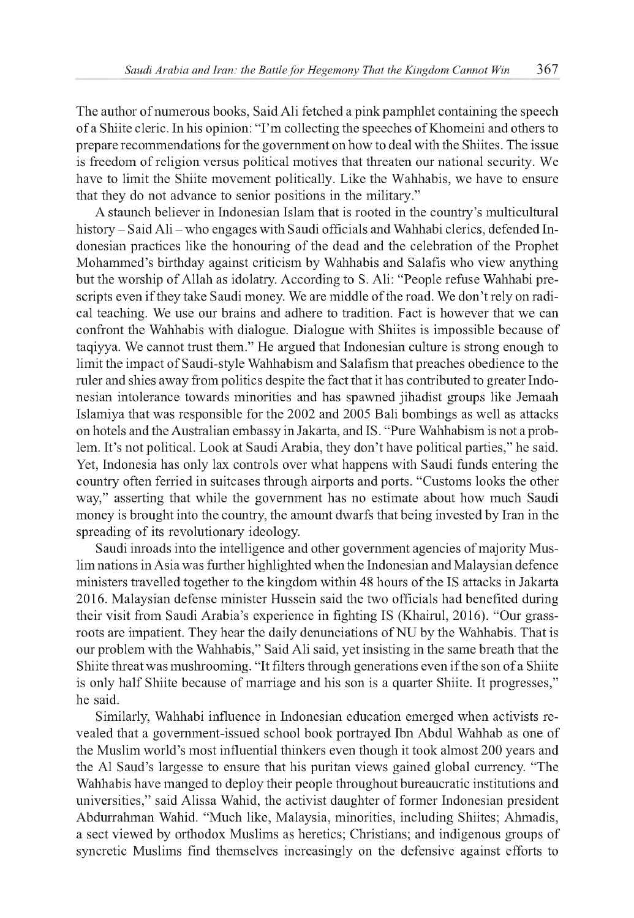The author of numerous books, Said Ali fetched a pink pamphlet containing the speech of a Shiite cleric. In his opinion: "I'm collecting the speeches of Khomeini and others to prepare recommendations for the government on how to deal with the Shiites. The issue is freedom of religion versus political motives that threaten our national security. We have to limit the Shiite movement politically. Like the Wahhabis, we have to ensure that they do not advance to senior positions in the military."

A staunch believer in Indonesian Islam that is rooted in the country's multicultural history - Said Ali - who engages with Saudi officials and Wahhabi clerics, defended Indonesian practices like the honouring of the dead and the celebration of the Prophet Mohammed's birthday against criticism by Wahhabis and Salafis who view anything but the worship of Allah as idolatry. According to S. Ali: "People refuse Wahhabi prescripts even if they take Saudi money. We are middle of the road. We don't rely on radical teaching. We use our brains and adhere to tradition. Fact is however that we can confront the Wahhabis with dialogue. Dialogue with Shiites is impossible because of taqiyya. We cannot trust them." He argued that Indonesian culture is strong enough to limit the impact of Saudi-style Wahhabism and Salafism that preaches obedience to the ruler and shies away from politics despite the fact that it has contributed to greater Indonesian intolerance towards minorities and has spawned jihadist groups like Jemaah Islamiya that was responsible for the 2002 and 2005 Bali bombings as well as attacks on hotels and the Australian embassy in Jakarta, and IS. "Pure Wahhabism is not a problem. It's not political. Look at Saudi Arabia, they don't have political parties," he said. Yet, Indonesia has only lax controls over what happens with Saudi funds entering the country often ferried in suitcases through airports and ports. "Customs looks the other way," asserting that while the government has no estimate about how much Saudi money is brought into the country, the amount dwarfs that being invested by Iran in the spreading of its revolutionary ideology.

Saudi inroads into the intelligence and other government agencies of majority Muslim nations in Asia was further highlighted when the Indonesian and Malaysian defence ministers travelled together to the kingdom within 48 hours of the IS attacks in Jakarta 2016. Malaysian defense minister Hussein said the two officials had benefited during their visit from Saudi Arabia's experience in fighting IS (Khairul, 2016). "Our grassroots are impatient. They hear the daily denunciations of NU by the Wahhabis. That is our problem with the Wahhabis," Said Ali said, yet insisting in the same breath that the Shiite threat was mushrooming. "It filters through generations even if the son of a Shiite is only half Shiite because of marriage and his son is a quarter Shiite. It progresses," he said.

Similarly, Wahhabi influence in Indonesian education emerged when activists revealed that a government-issued school book portrayed Ibn Abdul Wahhab as one of the Muslim world's most influential thinkers even though it took almost 200 years and the Al Saud's largesse to ensure that his puritan views gained global currency. "The Wahhabis have manged to deploy their people throughout bureaucratic institutions and universities," said Alissa Wahid, the activist daughter of former Indonesian president Abdurrahman Wahid. "Much like, Malaysia, minorities, including Shiites; Ahmadis, a sect viewed by orthodox Muslims as heretics; Christians; and indigenous groups of syncretic Muslims find themselves increasingly on the defensive against efforts to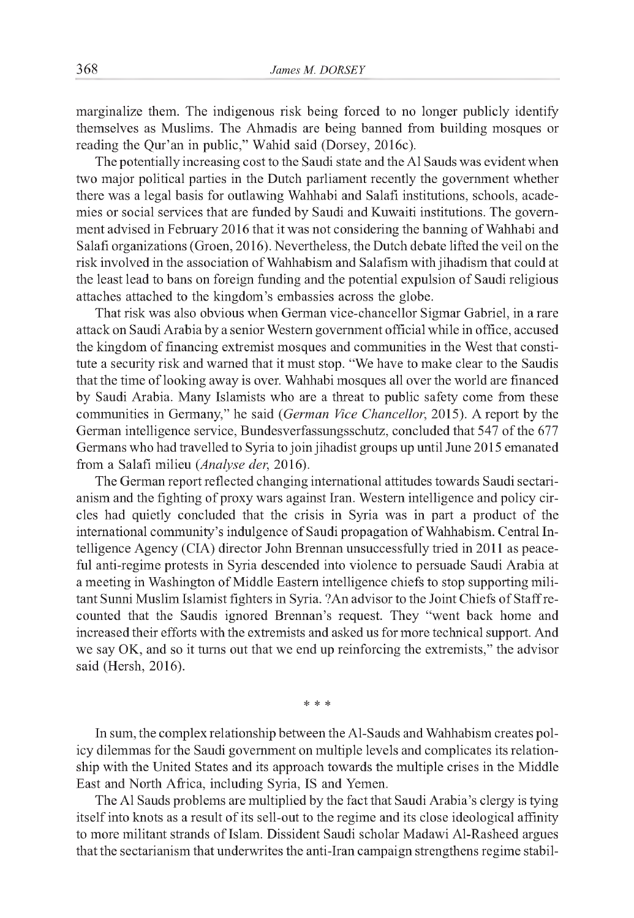marginalize them. The indigenous risk being forced to no longer publicly identify themselves as Muslims. The Ahmadis are being banned from building mosques or reading the Qur'an in public," Wahid said (Dorsey, 2016c).

The potentially increasing cost to the Saudi state and the Al Sauds was evident when two major political parties in the Dutch parliament recently the government whether there was a legal basis for outlawing Wahhabi and Salafi institutions, schools, academies or social services that are funded by Saudi and Kuwaiti institutions. The government advised in February 2016 that it was not considering the banning of Wahhabi and Salafi organizations (Groen, 2016). Nevertheless, the Dutch debate lifted the veil on the risk involved in the association of Wahhabism and Salafism with jihadism that could at the least lead to bans on foreign funding and the potential expulsion of Saudi religious attaches attached to the kingdom's embassies across the globe.

That risk was also obvious when German vice-chancellor Sigmar Gabriel, in a rare attack on Saudi Arabia by a senior Western government official while in office, accused the kingdom of financing extremist mosques and communities in the West that constitute a security risk and warned that it must stop. "We have to make clear to the Saudis that the time of looking away is over. Wahhabi mosques all over the world are financed by Saudi Arabia. Many Islamists who are a threat to public safety come from these communities in Germany," he said *(German Vice Chancellor,* 2015). A report by the German intelligence service, Bundesverfassungsschutz, concluded that 547 of the 677 Germans who had travelled to Syria to join jihadist groups up until June 2015 emanated from a Salafi milieu *(Analyse der,* 2016).

The German report reflected changing international attitudes towards Saudi sectarianism and the fighting of proxy wars against Iran. Western intelligence and policy circles had quietly concluded that the crisis in Syria was in part a product of the international community's indulgence of Saudi propagation of Wahhabism. Central Intelligence Agency (CIA) director John Brennan unsuccessfully tried in 2011 as peaceful anti-regime protests in Syria descended into violence to persuade Saudi Arabia at a meeting in Washington of Middle Eastern intelligence chiefs to stop supporting militant Sunni Muslim Islamist fighters in Syria. ?An advisor to the Joint Chiefs of Staff recounted that the Saudis ignored Brennan's request. They "went back home and increased their efforts with the extremists and asked us for more technical support. And we say OK, and so it turns out that we end up reinforcing the extremists," the advisor said (Hersh, 2016).

\* \* \*

In sum, the complex relationship between the Al-Sauds and Wahhabism creates policy dilemmas for the Saudi government on multiple levels and complicates its relationship with the United States and its approach towards the multiple crises in the Middle East and North Africa, including Syria, IS and Yemen.

The Al Sauds problems are multiplied by the fact that Saudi Arabia's clergy is tying itself into knots as a result of its sell-out to the regime and its close ideological affinity to more militant strands of Islam. Dissident Saudi scholar Madawi Al-Rasheed argues that the sectarianism that underwrites the anti-Iran campaign strengthens regime stabil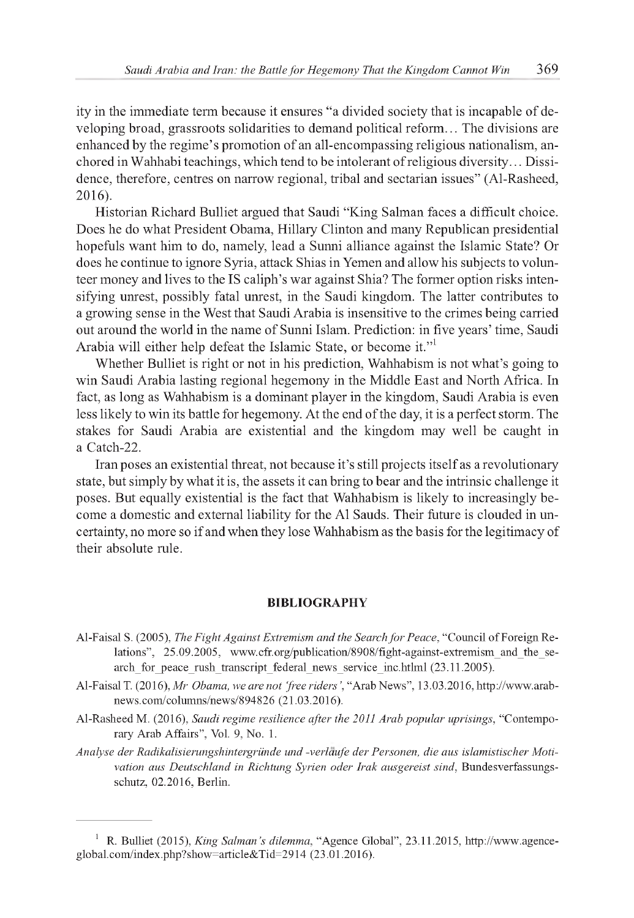ity in the immediate term because it ensures "a divided society that is incapable of developing broad, grassroots solidarities to demand political reform... The divisions are enhanced by the regime's promotion of an all-encompassing religious nationalism, anchored in Wahhabi teachings, which tend to be intolerant of religious diversity... Dissidence, therefore, centres on narrow regional, tribal and sectarian issues" (Al-Rasheed, 2016).

Historian Richard Bulliet argued that Saudi "King Salman faces a difficult choice. Does he do what President Obama, Hillary Clinton and many Republican presidential hopefuls want him to do, namely, lead a Sunni alliance against the Islamic State? Or does he continue to ignore Syria, attack Shias in Yemen and allow his subjects to volunteer money and lives to the IS caliph's war against Shia? The former option risks intensifying unrest, possibly fatal unrest, in the Saudi kingdom. The latter contributes to a growing sense in the West that Saudi Arabia is insensitive to the crimes being carried out around the world in the name of Sunni Islam. Prediction: in five years' time, Saudi Arabia will either help defeat the Islamic State, or become it."

Whether Bulliet is right or not in his prediction, Wahhabism is not what's going to win Saudi Arabia lasting regional hegemony in the Middle East and North Africa. In fact, as long as Wahhabism is a dominant player in the kingdom, Saudi Arabia is even less likely to win its battle for hegemony. At the end of the day, it is a perfect storm. The stakes for Saudi Arabia are existential and the kingdom may well be caught in a Catch-22.

Iran poses an existential threat, not because it's still projects itself as a revolutionary state, but simply by what it is, the assets it can bring to bear and the intrinsic challenge it poses. But equally existential is the fact that Wahhabism is likely to increasingly become a domestic and external liability for the Al Sauds. Their future is clouded in uncertainty, no more so if and when they lose Wahhabism as the basis for the legitimacy of their absolute rule.

#### **BIBLIOGRAPHY**

- Al-Faisal S. (2005), *The Fight Against Extremism and the Search fo r Peace,* "Council of Foreign Relations", 25.09.2005, [www.cfr.org/publication/8908/fight-against-extremism\\_and\\_the\\_se](http://www.cfr.org/publication/8908/fight-against-extremism_and_the_se-)arch\_for\_peace\_rush\_transcript\_federal\_news\_service\_inc.htlml (23.11.2005).
- Al-Faisal T. (2016), Mr Obama, we are not 'free riders', "Arab News", 13.03.2016, [http://www.arab](http://www.arab-)news.com/columns/news/894826 (21.03.2016).
- Al-Rasheed M. (2016), *Saudi regime resilience after the 2011 Arab popular uprisings,* "Contemporary Arab Affairs", Vol. 9, No. 1.
- *Analyse der Radikalisierungshintergründe und -verlaufe der Personen, die aus islamistischer Motivation aus Deutschland in Richtung Syrien oder Irak ausgereist sind,* Bundesverfassungsschutz, 02.2016, Berlin.

<sup>1</sup> R. Bulliet (2015), *King Salman's dilemma,* "Agence Global", 23.11.2015, [http://www.agence](http://www.agence-)global.com/index.php?show=article&Tid=2914 (23.01.2016).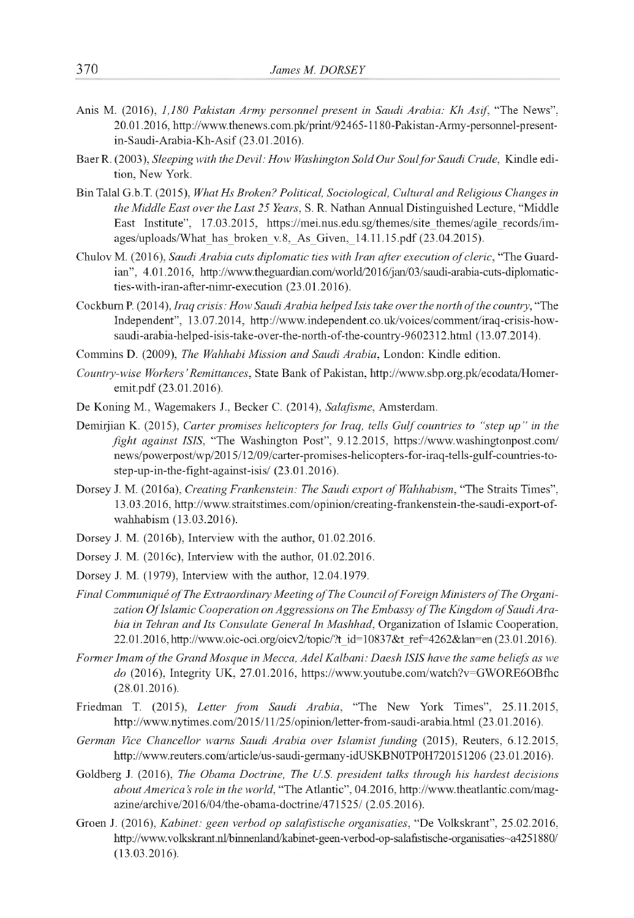- Anis M. (2016), *1,180 Pakistan Army personnel present in Saudi Arabia: Kh Asif,* "The News", 20.01.2016, [http://www.thenews.com.pk/print/92465-1180-Pakistan-Army-personnel-present](http://www.thenews.com.pk/print/92465-1180-Pakistan-Army-personnel-present-)in-Saudi-Arabia-Kh-Asif (23.01.2016).
- Baer R. (2003), *Sleeping with the Devil: How Washington Sold Our Soul fo r Saudi Crude,* Kindle edition, New York.
- BinTalal G.b.T. (2015), *What Hs Broken? Political, Sociological, Cultural and Religious Changes in the Middle East over the Last 25 Years,* S. R. Nathan Annual Distinguished Lecture, "Middle East Institute", 17.03.2015, [https://mei.nus.edu.sg/themes/site\\_themes/agile\\_records/im](https://mei.nus.edu.sg/themes/site_themes/agile_records/im-)ages/uploads/What\_has\_broken\_v.8,\_As\_Given,\_14.11.15.pdf (23.04.2015).
- Chulov M. (2016), *Saudi Arabia cuts diplomatic ties with Iran after execution of cleric*, "The Guardian", 4.01.2016, [http://www.theguardian.com/world/2016/jan/03/saudi-arabia-cuts-diplomatic](http://www.theguardian.com/world/2016/jan/03/saudi-arabia-cuts-diplomatic-)ties-with-iran-after-nimr-execution (23.01.2016).
- Cockburn P. (2014), *Iraq crisis: How Saudi Arabia helped Isis take over the north of the country*, "The Independent", 13.07.2014, [http://www.independent.co.uk/voices/comment/iraq-crisis-how](http://www.independent.co.uk/voices/comment/iraq-crisis-how-)saudi-arabia-helped-isis-take-over-the-north-of-the-country-9602312.html (13.07.2014).
- Commins D. (2009), *The Wahhabi Mission and Saudi Arabia,* London: Kindle edition.
- *Country-wise Workers' Remittances,* State Bank of Pakistan, [http://www.sbp.org.pk/ecodata/Homer](http://www.sbp.org.pk/ecodata/Homer-)emit.pdf (23.01.2016).
- De Koning M., Wagemakers J., Becker C. (2014), *Salafisme,* Amsterdam.
- Demirjian K. (2015), *Carter promises helicopters fo r Iraq, tells Gulf countries to "step up" in the fight against ISIS,* "The Washington Post", 9.12.2015, <https://www.washingtonpost.com/> news/powerpost/wp/2015/12/09/carter-promises-helicopters-for-iraq-tells-gulf-countries-tostep-up-in-the-fight-against-isis/ (23.01.2016).
- Dorsey J. M. (2016a), *Creating Frankenstein: The Saudi export of Wahhabism*, "The Straits Times", 13.03.2016, [http://wwwstraitstimes.com/opmion/creating-frankenstem-the-saudi-export-of](http://wwwstraitstimes.com/opmion/creating-frankenstem-the-saudi-export-of-)wahhabism (13.03.2016).
- Dorsey J. M. (2016b), Interview with the author, 01.02.2016.
- Dorsey J. M. (2016c), Interview with the author, 01.02.2016.
- Dorsey J. M. (1979), Interview with the author, 12.04.1979.
- Final Communiqué of The Extraordinary Meeting of The Council of Foreign Ministers of The Organization Of Islamic Cooperation on Aggressions on The Embassy of The Kingdom of Saudi Ara*bia in Tehran and Its Consulate General In Mashhad,* Organization of Islamic Cooperation, 22.01.2016, [http://www.oic-oci.org/oicv2/topic/?t\\_id=10837&t\\_ref=4262&lan=en](http://www.oic-oci.org/oicv2/topic/?t_id=10837&t_ref=4262&lan=en) (23.01.2016).
- Former Imam of the Grand Mosque in Mecca, Adel Kalbani: Daesh ISIS have the same beliefs as we *do* (2016), Integrity UK, 27.01.2016, <https://www.youtube.com/watch?v=GWORE6OBfhc> (28.01.2016).
- Friedman T. (2015), *Letter from Saudi Arabia,* "The New York Times", 25.11.2015, <http://wwwnytimes.com/2015/11/25/opinion/letter-from-saudi-arabia.html> (23.01.2016).
- *German Vice Chancellor warns Saudi Arabia over Islamist funding* (2015), Reuters, 6.12.2015, <http://www.reuters.com/article/us-saudi-germany-idUSKBN0TP0H720151206>(23.01.2016).
- Goldberg J. (2016), *The Obama Doctrine, The U.S. president talks through his hardest decisions about America's role in the world,* "The Atlantic", 04.2016, [http://www.theatlantic.com/mag](http://www.theatlantic.com/mag-)azine/archive/2016/04/the-obama-doctrine/471525/ (2.05.2016).
- Groen J. (2016), *Kabinet: geen verbod op salafistische organisaties,* "De Volkskrant", 25.02.2016, http://www.volkskrant.nl/binnenland/kabinet-geen-verbod-op-salafistische-organisaties~a4251880/ (13.03.2016).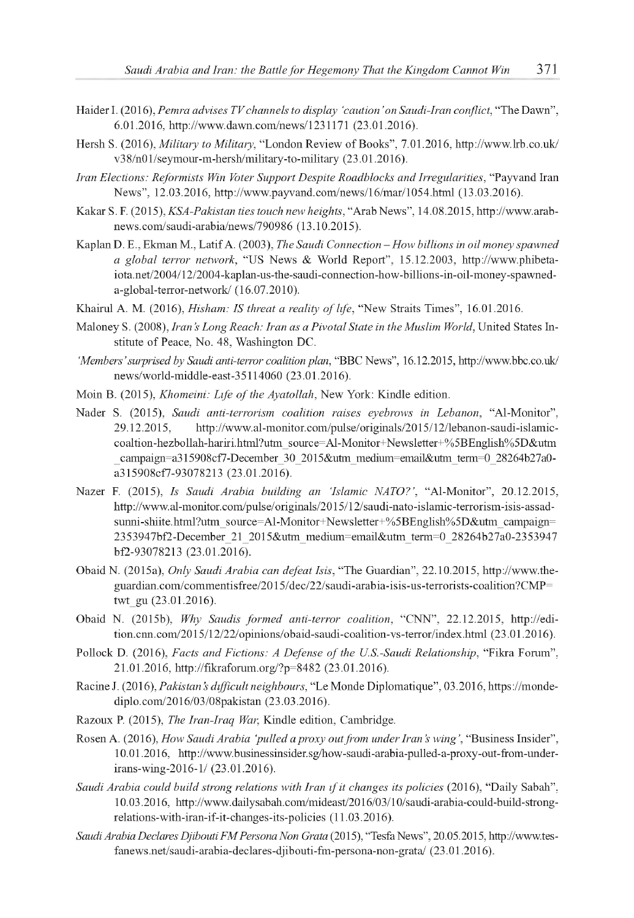- Haider I. (2016), *Pemra advises TV channels to display 'caution'on Saudi-Iran conflict,* "The Dawn", 6.01.2016, <http://www.dawn.com/news/1231171>(23.01.2016).
- Hersh S. (2016), *Military to Military,* "London Review of Books", 7.01.2016, <http://www.lrb.co.uk/> v38/n01/seymour-m-hersh/military-to-military (23.01.2016).
- *Iran Elections: Reformists Win Voter Support Despite Roadblocks and Irregularities,* "Payvand Iran News", 12.03.2016, <http://www.payvand.com/news/16/mar/1054.html> (13.03.2016).
- Kakar S. F. (2015), *KSA-Pakistan ties touch new heights,* "Arab News", 14.08.2015, [http://www.arab](http://www.arab-)news.com/saudi-arabia/news/790986 (13.10.2015).
- Kaplan D. E., EkmanM., Latif A. (2003), *The Saudi Connection How billions in oil money spawned a global terror network,* "US News & World Report", 15.12.2003, [http://www.phibeta](http://www.phibeta-)iota.net/2004/12/2004-kaplan-us-the-saudi-connection-how-billions-in-oil-money-spawneda-global-terror-network/ (16.07.2010).
- Khairul A. M. (2016), *Hisham: IS threat a reality of life*, "New Straits Times", 16.01.2016.
- Maloney S. (2008), *Iran's Long Reach: Iran as a Pivotal State in the Muslim World,* United States Institute of Peace, No. 48, Washington DC.
- *'Members' surprised by Saudi anti-terror coalition plan,* "BBC News", 16.12.2015, <http://www.bbc.co.uk/> news/world-middle-east-35114060 (23.01.2016).
- Moin B. (2015), *Khomeini: Life of the Ayatollah*, New York: Kindle edition.
- Nader S. (2015), *Saudi anti-terrorism coalition raises eyebrows in Lebanon,* "Al-Monitor", 29.12.2015, [http://www.al-monitor.com/pulse/originals/2015/12/lebanon-saudi-islamic](http://www.al-monitor.com/pulse/originals/2015/12/lebanon-saudi-islamic-)coaltion-hezbollah-hariri.html?utm\_source=Al-Monitor+Newsletter+%5BEnglish%5D&utm \_campaign=a315908cf7-December\_30\_2015&utm\_medium=email&utm\_term=0\_28264b27a0 a315908cf7-93078213 (23.01.2016).
- Nazer F. (2015), *Is Saudi Arabia building an 'Islamic NATO?',* "Al-Monitor", 20.12.2015, [http://www.al-monitor.com/pulse/originals/2015/12/saudi-nato-islamic-terrorism-isis-assad](http://www.al-monitor.com/pulse/originals/2015/12/saudi-nato-islamic-terrorism-isis-assad-)sunni-shiite.html?utm\_source=Al-Monitor+Newsletter+%5BEnglish%5D&utm\_campaign= 2353947bf2-December\_21\_2015&utm\_medium=email&utm\_term=0\_28264b27a0-2353947 bf2-93078213 (23.01.2016).
- Obaid N. (2015a), *Only Saudi Arabia can defeat Isis,* "The Guardian", 22.10.2015, [http://www.the](http://www.the-)guardian.com/commentisfree/2015/dec/22/saudi-arabia-isis-us-terrorists-coalition?CMP= twt\_gu (23.01.2016).
- Obaid N. (2015b), *Why Saudis formed anti-terror coalition,* "CNN", 22.12.2015, [http://edi](http://edi-)tion.cnn.com/2015/12/22/opinions/obaid-saudi-coalition-vs-terror/index.html (23.01.2016).
- Pollock D. (2016), *Facts and Fictions: A Defense of the U.S.-Saudi Relationship*, "Fikra Forum", 21.01.2016, <http://fikraforum.org/?p=8482> (23.01.2016).
- Racine J. (2016), *Pakistan's difficult neighbours,* "Le Monde Diplomatique", 03.2016, [https://monde](https://monde-)diplo.com/2016/03/08pakistan (23.03.2016).
- Razoux P. (2015), *The Iran-Iraq War,* Kindle edition, Cambridge.
- Rosen A. (2016), *How Saudi Arabia 'pulled a proxy out from under Iran's wing ',* "Business Insider", 10.01.2016, [http://www.businessinsider.sg/how-saudi-arabia-pulled-a-proxy-out-from-under](http://www.businessinsider.sg/how-saudi-arabia-pulled-a-proxy-out-from-under-)irans-wing-2016-1/ (23.01.2016).
- *Saudi Arabia could build strong relations with Iran if it changes its policies* (2016), "Daily Sabah", 10.03.2016, [http://www.dailysabah.com/mideast/2016/03/10/saudi-arabia-could-build-strong](http://www.dailysabah.com/mideast/2016/03/10/saudi-arabia-could-build-strong-)relations-with-iran-if-it-changes-its-policies (11.03.2016).
- *Saudi Arabia Declares Djibouti FMPersona Non Grata* (2015), "TesfaNews", 20.05.2015, [http://www.tes](http://www.tes-)fanews.net/saudi-arabia-declares-djibouti-fm-persona-non-grata/ (23.01.2016).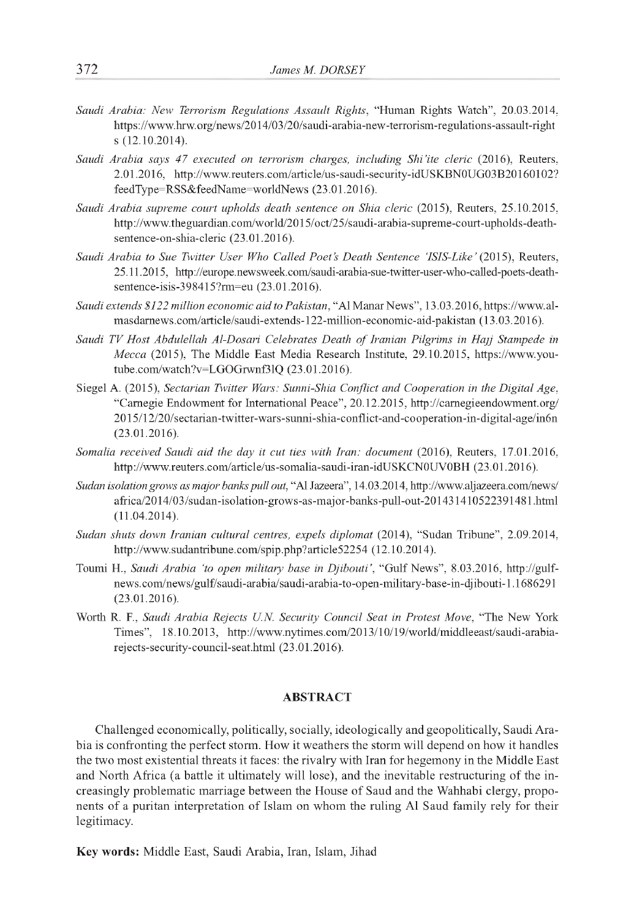- *Saudi Arabia: New Terrorism Regulations Assault Rights,* "Human Rights Watch", 20.03.2014, <https://www.hrw.org/news/2014/03/20/saudi-arabia-new-terrorism-regulations-assault-right> s (12.10.2014).
- *Saudi Arabia says 47 executed on terrorism charges, including Shi'ite cleric* (2016), Reuters, 2.01.2016, <http://www.reuters.com/article/us-saudi-security-idUSKBN0UG03B20160102>? feedType=RSS&feedName=worldNews (23.01.2016).
- *Saudi Arabia supreme court upholds death sentence on Shia cleric* (2015), Reuters, 25.10.2015, [http://www.theguardian.com/world/2015/oct/25/saudi-arabia-supreme-court-upholds-death](http://www.theguardian.com/world/2015/oct/25/saudi-arabia-supreme-court-upholds-death-)sentence-on-shia-cleric (23.01.2016).
- *Saudi Arabia to Sue Twitter User Who Called Poet's Death Sentence 'ISIS-Like'* (2015), Reuters, 25.11.2015, [http://europe.newsweek.com/saudi-arabia-sue-twitter-user-who-called-poets-death](http://europe.newsweek.com/saudi-arabia-sue-twitter-user-who-called-poets-death-)sentence-isis-398415?rm=eu (23.01.2016).
- *Saudi extends \$122 million economic aid to Pakistan,* "AlManarNews", 13.03.2016, [https://www.al](https://www.al-)masdarnews.com/article/saudi-extends-122-million-economic-aid-pakistan (13.03.2016).
- Saudi TV Host Abdulellah Al-Dosari Celebrates Death of Iranian Pilgrims in Hajj Stampede in *Mecca* (2015), The Middle East Media Research Institute, 29.10.2015, [https://www.you](https://www.you-)tube.com/watch?v=LGOGrwnf3lQ (23.01.2016).
- Siegel A. (2015), *Sectarian Twitter Wars: Sunni-Shia Conflict and Cooperation in the Digital Age,* "Carnegie Endowment for International Peace", 20.12.2015, <http://carnegieendowment.org/> 2015/12/20/sectarian-twitter-wars-sunni-shia-conflict-and-cooperation-in-digital-age/in6n (23.01.2016).
- *Somalia received Saudi aid the day it cut ties with Iran: document* (2016), Reuters, 17.01.2016, <http://www.reuters.com/article/us-somalia-saudi-iran-idUSKCN0UV0BH> (23.01.2016).
- *Sudan isolation grows as major banks pull out,* "Al Jazeera", 14.03.2014,<http://www.aljazeera.com/news/> africa/2014/03/sudan-isolation-grows-as-major-banks-pull-out-201431410522391481.html (11.04.2014).
- *Sudan shuts down Iranian cultural centres, expels diplomat* (2014), "Sudan Tribune", 2.09.2014, <http://www.sudantribune.com/spip.php?article52254> (12.10.2014).
- Toumi H., *Saudi Arabia 'to open military base in Djibouti',* "Gulf News", 8.03.2016, [http://gulf](http://gulf-)news.com/news/gulf/saudi-arabia/saudi-arabia-to-open-military-base-in-djibouti-1.1686291 (23.01.2016).
- Worth R. F., *Saudi Arabia Rejects U.N. Security Council Seat in Protest Move,* "The New York Times", 18.10.2013, [http://www.nytimes.com/2013/10/19/world/middleeast/saudi-arabia](http://www.nytimes.com/2013/10/19/world/middleeast/saudi-arabia-)rejects-security-council-seat.html (23.01.2016).

#### **ABSTRACT**

Challenged economically, politically, socially, ideologically and geopolitically, Saudi Arabia is confronting the perfect storm. How it weathers the storm will depend on how it handles the two most existential threats it faces: the rivalry with Iran for hegemony in the Middle East and North Africa (a battle it ultimately will lose), and the inevitable restructuring of the increasingly problematic marriage between the House of Saud and the Wahhabi clergy, proponents of a puritan interpretation of Islam on whom the ruling Al Saud family rely for their legitimacy.

**Key words:** Middle East, Saudi Arabia, Iran, Islam, Jihad